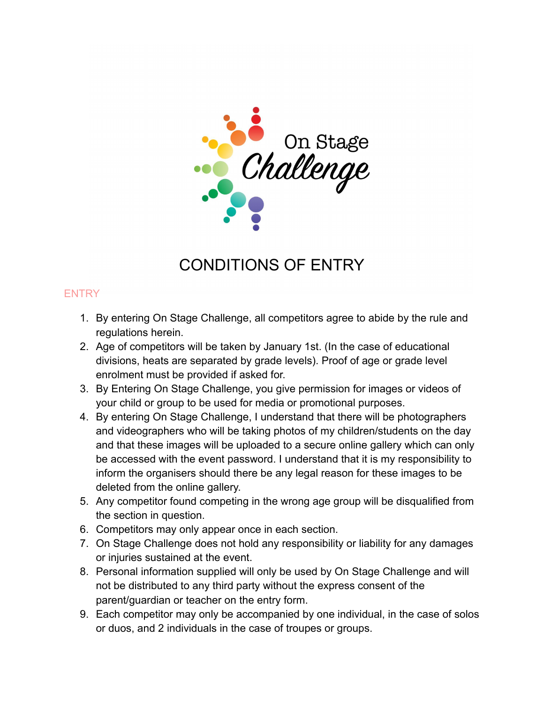

# CONDITIONS OF ENTRY

## **ENTRY**

- 1. By entering On Stage Challenge, all competitors agree to abide by the rule and regulations herein.
- 2. Age of competitors will be taken by January 1st. (In the case of educational divisions, heats are separated by grade levels). Proof of age or grade level enrolment must be provided if asked for.
- 3. By Entering On Stage Challenge, you give permission for images or videos of your child or group to be used for media or promotional purposes.
- 4. By entering On Stage Challenge, I understand that there will be photographers and videographers who will be taking photos of my children/students on the day and that these images will be uploaded to a secure online gallery which can only be accessed with the event password. I understand that it is my responsibility to inform the organisers should there be any legal reason for these images to be deleted from the online gallery.
- 5. Any competitor found competing in the wrong age group will be disqualified from the section in question.
- 6. Competitors may only appear once in each section.
- 7. On Stage Challenge does not hold any responsibility or liability for any damages or injuries sustained at the event.
- 8. Personal information supplied will only be used by On Stage Challenge and will not be distributed to any third party without the express consent of the parent/guardian or teacher on the entry form.
- 9. Each competitor may only be accompanied by one individual, in the case of solos or duos, and 2 individuals in the case of troupes or groups.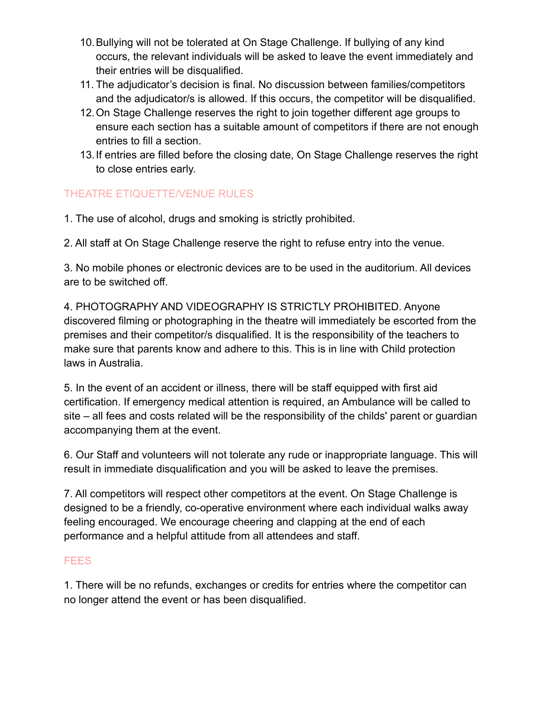- 10.Bullying will not be tolerated at On Stage Challenge. If bullying of any kind occurs, the relevant individuals will be asked to leave the event immediately and their entries will be disqualified.
- 11. The adjudicator's decision is final. No discussion between families/competitors and the adjudicator/s is allowed. If this occurs, the competitor will be disqualified.
- 12.On Stage Challenge reserves the right to join together different age groups to ensure each section has a suitable amount of competitors if there are not enough entries to fill a section.
- 13.If entries are filled before the closing date, On Stage Challenge reserves the right to close entries early.

# THEATRE ETIQUETTE/VENUE RULES

1. The use of alcohol, drugs and smoking is strictly prohibited.

2. All staff at On Stage Challenge reserve the right to refuse entry into the venue.

3. No mobile phones or electronic devices are to be used in the auditorium. All devices are to be switched off.

4. PHOTOGRAPHY AND VIDEOGRAPHY IS STRICTLY PROHIBITED. Anyone discovered filming or photographing in the theatre will immediately be escorted from the premises and their competitor/s disqualified. It is the responsibility of the teachers to make sure that parents know and adhere to this. This is in line with Child protection laws in Australia.

5. In the event of an accident or illness, there will be staff equipped with first aid certification. If emergency medical attention is required, an Ambulance will be called to site – all fees and costs related will be the responsibility of the childs' parent or guardian accompanying them at the event.

6. Our Staff and volunteers will not tolerate any rude or inappropriate language. This will result in immediate disqualification and you will be asked to leave the premises.

7. All competitors will respect other competitors at the event. On Stage Challenge is designed to be a friendly, co-operative environment where each individual walks away feeling encouraged. We encourage cheering and clapping at the end of each performance and a helpful attitude from all attendees and staff.

#### FEES

1. There will be no refunds, exchanges or credits for entries where the competitor can no longer attend the event or has been disqualified.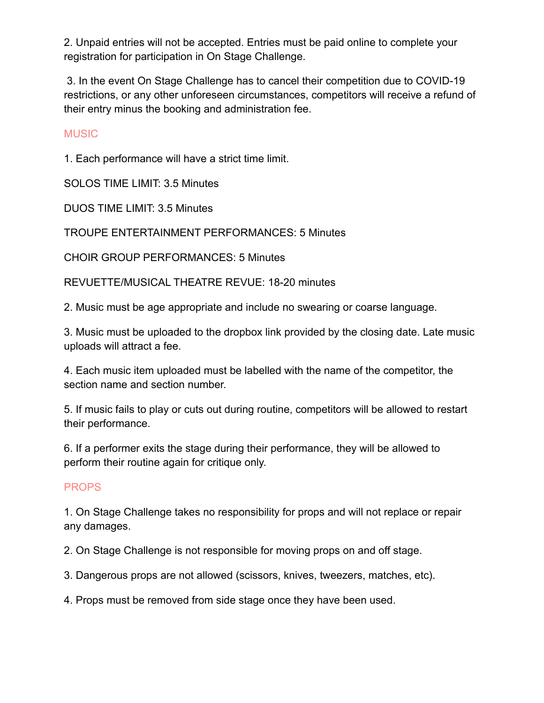2. Unpaid entries will not be accepted. Entries must be paid online to complete your registration for participation in On Stage Challenge.

3. In the event On Stage Challenge has to cancel their competition due to COVID-19 restrictions, or any other unforeseen circumstances, competitors will receive a refund of their entry minus the booking and administration fee.

#### **MUSIC**

1. Each performance will have a strict time limit.

SOLOS TIME LIMIT: 3.5 Minutes

DUOS TIME LIMIT: 3.5 Minutes

TROUPE ENTERTAINMENT PERFORMANCES: 5 Minutes

CHOIR GROUP PERFORMANCES: 5 Minutes

REVUETTE/MUSICAL THEATRE REVUE: 18-20 minutes

2. Music must be age appropriate and include no swearing or coarse language.

3. Music must be uploaded to the dropbox link provided by the closing date. Late music uploads will attract a fee.

4. Each music item uploaded must be labelled with the name of the competitor, the section name and section number.

5. If music fails to play or cuts out during routine, competitors will be allowed to restart their performance.

6. If a performer exits the stage during their performance, they will be allowed to perform their routine again for critique only.

#### **PROPS**

1. On Stage Challenge takes no responsibility for props and will not replace or repair any damages.

2. On Stage Challenge is not responsible for moving props on and off stage.

3. Dangerous props are not allowed (scissors, knives, tweezers, matches, etc).

4. Props must be removed from side stage once they have been used.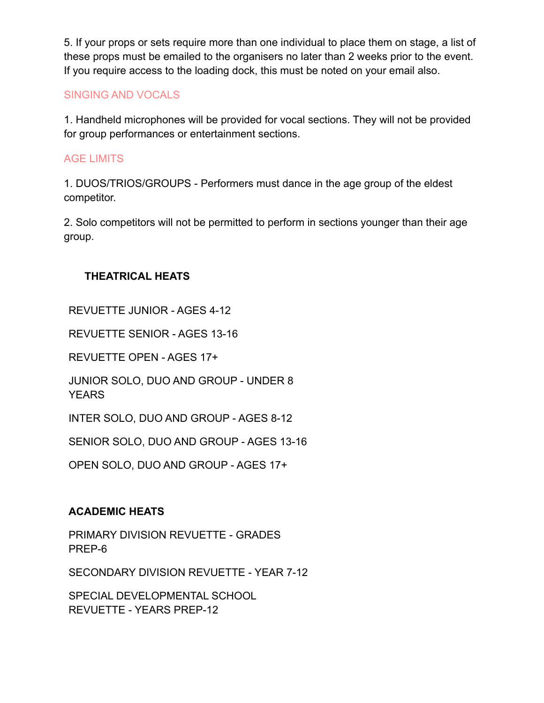5. If your props or sets require more than one individual to place them on stage, a list of these props must be emailed to the organisers no later than 2 weeks prior to the event. If you require access to the loading dock, this must be noted on your email also.

## SINGING AND VOCALS

1. Handheld microphones will be provided for vocal sections. They will not be provided for group performances or entertainment sections.

## AGE LIMITS

1. DUOS/TRIOS/GROUPS - Performers must dance in the age group of the eldest competitor.

2. Solo competitors will not be permitted to perform in sections younger than their age group.

## **THEATRICAL HEATS**

REVUETTE JUNIOR - AGES 4-12

REVUETTE SENIOR - AGES 13-16

REVUETTE OPEN - AGES 17+

JUNIOR SOLO, DUO AND GROUP - UNDER 8 YEARS

INTER SOLO, DUO AND GROUP - AGES 8-12

SENIOR SOLO, DUO AND GROUP - AGES 13-16

OPEN SOLO, DUO AND GROUP - AGES 17+

#### **ACADEMIC HEATS**

PRIMARY DIVISION REVUETTE - GRADES PREP-6

SECONDARY DIVISION REVUETTE - YEAR 7-12

SPECIAL DEVELOPMENTAL SCHOOL REVUETTE - YEARS PREP-12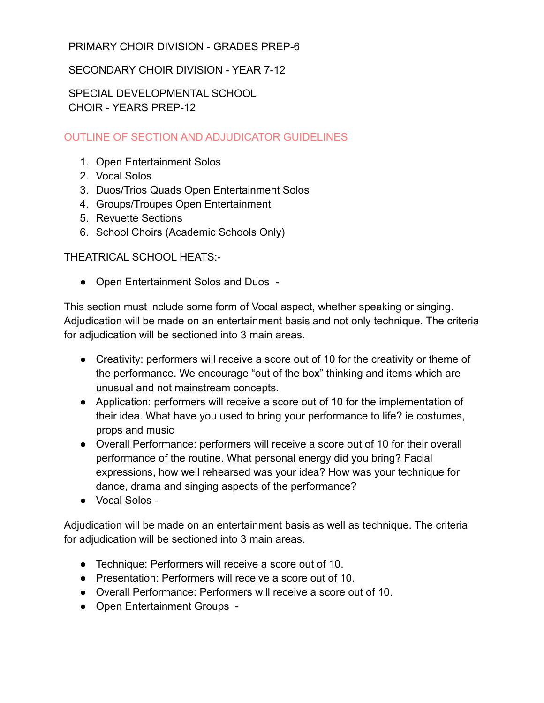#### PRIMARY CHOIR DIVISION - GRADES PREP-6

## SECONDARY CHOIR DIVISION - YEAR 7-12

SPECIAL DEVELOPMENTAL SCHOOL CHOIR - YEARS PREP-12

# OUTLINE OF SECTION AND ADJUDICATOR GUIDELINES

- 1. Open Entertainment Solos
- 2. Vocal Solos
- 3. Duos/Trios Quads Open Entertainment Solos
- 4. Groups/Troupes Open Entertainment
- 5. Revuette Sections
- 6. School Choirs (Academic Schools Only)

THEATRICAL SCHOOL HEATS:-

● Open Entertainment Solos and Duos -

This section must include some form of Vocal aspect, whether speaking or singing. Adjudication will be made on an entertainment basis and not only technique. The criteria for adjudication will be sectioned into 3 main areas.

- Creativity: performers will receive a score out of 10 for the creativity or theme of the performance. We encourage "out of the box" thinking and items which are unusual and not mainstream concepts.
- Application: performers will receive a score out of 10 for the implementation of their idea. What have you used to bring your performance to life? ie costumes, props and music
- Overall Performance: performers will receive a score out of 10 for their overall performance of the routine. What personal energy did you bring? Facial expressions, how well rehearsed was your idea? How was your technique for dance, drama and singing aspects of the performance?
- Vocal Solos -

Adjudication will be made on an entertainment basis as well as technique. The criteria for adjudication will be sectioned into 3 main areas.

- Technique: Performers will receive a score out of 10.
- Presentation: Performers will receive a score out of 10.
- Overall Performance: Performers will receive a score out of 10.
- Open Entertainment Groups -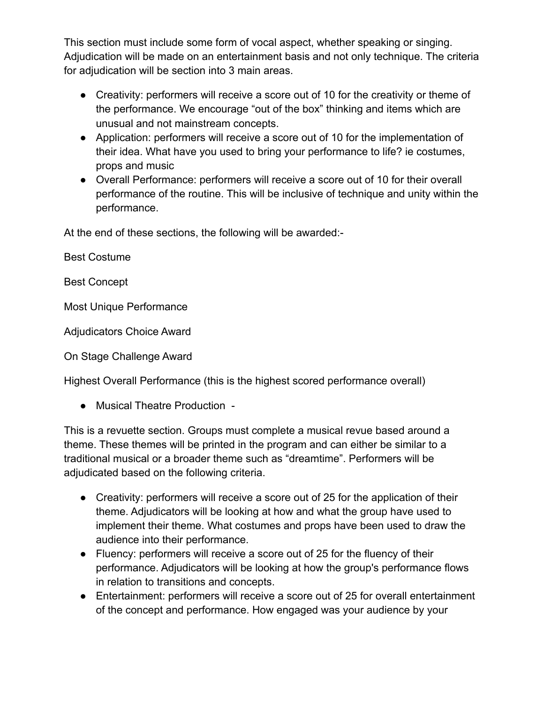This section must include some form of vocal aspect, whether speaking or singing. Adjudication will be made on an entertainment basis and not only technique. The criteria for adjudication will be section into 3 main areas.

- Creativity: performers will receive a score out of 10 for the creativity or theme of the performance. We encourage "out of the box" thinking and items which are unusual and not mainstream concepts.
- Application: performers will receive a score out of 10 for the implementation of their idea. What have you used to bring your performance to life? ie costumes, props and music
- Overall Performance: performers will receive a score out of 10 for their overall performance of the routine. This will be inclusive of technique and unity within the performance.

At the end of these sections, the following will be awarded:-

Best Costume

Best Concept

Most Unique Performance

Adjudicators Choice Award

On Stage Challenge Award

Highest Overall Performance (this is the highest scored performance overall)

● Musical Theatre Production -

This is a revuette section. Groups must complete a musical revue based around a theme. These themes will be printed in the program and can either be similar to a traditional musical or a broader theme such as "dreamtime". Performers will be adjudicated based on the following criteria.

- Creativity: performers will receive a score out of 25 for the application of their theme. Adjudicators will be looking at how and what the group have used to implement their theme. What costumes and props have been used to draw the audience into their performance.
- Fluency: performers will receive a score out of 25 for the fluency of their performance. Adjudicators will be looking at how the group's performance flows in relation to transitions and concepts.
- Entertainment: performers will receive a score out of 25 for overall entertainment of the concept and performance. How engaged was your audience by your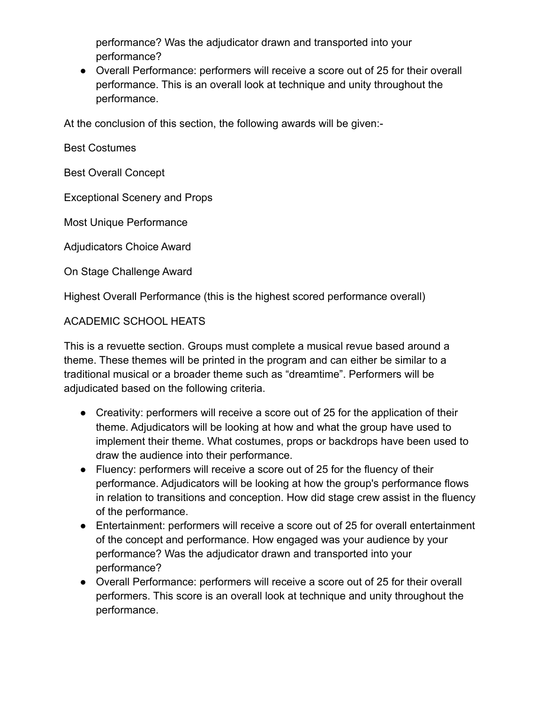performance? Was the adjudicator drawn and transported into your performance?

● Overall Performance: performers will receive a score out of 25 for their overall performance. This is an overall look at technique and unity throughout the performance.

At the conclusion of this section, the following awards will be given:-

Best Costumes

Best Overall Concept

Exceptional Scenery and Props

Most Unique Performance

Adjudicators Choice Award

On Stage Challenge Award

Highest Overall Performance (this is the highest scored performance overall)

#### ACADEMIC SCHOOL HEATS

This is a revuette section. Groups must complete a musical revue based around a theme. These themes will be printed in the program and can either be similar to a traditional musical or a broader theme such as "dreamtime". Performers will be adjudicated based on the following criteria.

- Creativity: performers will receive a score out of 25 for the application of their theme. Adjudicators will be looking at how and what the group have used to implement their theme. What costumes, props or backdrops have been used to draw the audience into their performance.
- Fluency: performers will receive a score out of 25 for the fluency of their performance. Adjudicators will be looking at how the group's performance flows in relation to transitions and conception. How did stage crew assist in the fluency of the performance.
- Entertainment: performers will receive a score out of 25 for overall entertainment of the concept and performance. How engaged was your audience by your performance? Was the adjudicator drawn and transported into your performance?
- Overall Performance: performers will receive a score out of 25 for their overall performers. This score is an overall look at technique and unity throughout the performance.